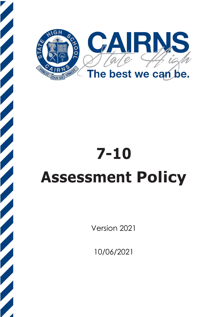

# **7-10 Assessment Policy**

Version 2021

10/06/2021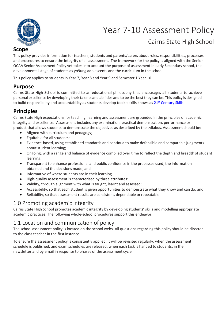

# Year 7-10 Assessment Policy

# Cairns State High School

#### **Scope**

This policy provides information for teachers, students and parents/carers about roles, responsibilities, processes and procedures to ensure the integrity of all assessment. The framework for the policy is aligned with the Senior QCAA Senior Assessment Policy yet takes into account the purpose of assessment in early Secondary school, the developmental stage of students as yo9ung adolescents and the curriculum in the school.

This policy applies to students in Year 7, Year 8 and Year 9 and Semester 1 Year 10.

## **Purpose**

Cairns State High School is committed to an educational philosophy that encourages all students to achieve personal excellence by developing their talents and abilities and to be the best they can be. This policy is designed to build responsibility and accountability as students develop toolkit skills knows as 21<sup>st</sup> [Century Skills.](https://www.qcaa.qld.edu.au/senior/senior-subjects/general-subjects/21st-century-skills)

# **Principles**

Cairns State High expectations for teaching, learning and assessment are grounded in the principles of academic integrity and excellence. Assessment includes any examination, practical demonstration, performance or product that allows students to demonstrate the objectives as described by the syllabus. Assessment should be:

- Aligned with curriculum and pedagogy;
- Equitable for all students;
- Evidence-based, using established standards and continua to make defensible and comparable judgments about student learning;
- Ongoing, with a range and balance of evidence compiled over time to reflect the depth and breadth of student learning;
- Transparent to enhance professional and public confidence in the processes used, the information obtained and the decisions made; and
- Informative of where students are in their learning.
- High-quality assessment is characterised by three attributes:
- Validity, through alignment with what is taught, learnt and assessed;
- Accessibility, so that each student is given opportunities to demonstrate what they know and can do; and
- Reliability, so that assessment results are consistent, dependable or repeatable.

## 1.0 Promoting academic integrity

Cairns State High School promotes academic integrity by developing students' skills and modelling appropriate academic practices. The following whole-school procedures support this endeavor.

## 1.1 Location and communication of policy

The school assessment policy is located on the school webs. All questions regarding this policy should be directed to the class teacher in the first instance.

To ensure the assessment policy is consistently applied, it will be revisited regularly; when the assessment schedule is published, and exam schedules are released; when each task is handed to students; in the newsletter and by email in response to phases of the assessment cycle.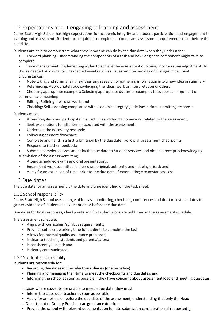# 1.2 Expectations about engaging in learning and assessment

Cairns State High School has high expectations for academic integrity and student participation and engagement in learning and assessment. Students are required to complete all course and assessment requirements on or before the due date.

Students are able to demonstrate what they know and can do by the due date when they understand:

- Forward planning: Understanding the components of a task and how long each component might take to complete;
- Time management: Implementing a plan to achieve the assessment outcome, incorporating adjustments to this as needed. Allowing for unexpected events such as issues with technology or changes in personal
- circumstances;
- Note-taking and summarising: Synthesising research or gathering information into a new idea orsummary
- Referencing: Appropriately acknowledging the ideas, work or interpretation of others
- Choosing appropriate examples: Selecting appropriate quotes or examples to support an argument or communicate meaning;
- Editing: Refining their own work; and
- Checking: Self-assessing compliance with academic integrity guidelines before submitting responses.

#### Students must:

- Attend regularly and participate in all activities, including homework, related to the assessment;
- Seek explanations for all criteria associated with the assessment;
- Undertake the necessary research;
- Follow Assessment flowchart;
- Complete and hand in a first submission by the due date. Follow all assessment checkpoints;
- Respond to teacher feedback;
- Submit a completed assessment by the due date to Student Services and obtain a receipt acknowledging submission of the assessment item;
- Attend scheduled exams and oral presentations;
- Ensure that work submitted is their own: original, authentic and not plagiarised; and
- Apply for an extension of time, prior to the due date, if extenuating circumstances exist.

#### 1.3 Due dates

The due date for an assessment is the date and time identified on the task sheet.

#### 1.31 School responsibility

Cairns State High School uses a range of in-class monitoring, checklists, conferences and draft milestone dates to gather evidence of student achievement on or before the due date.

Due dates for final responses, checkpoints and first submissions are published in the assessment schedule.

The assessment schedule:

- Aligns with curriculum/syllabus requirements;
- Provides sufficient working time for students to complete the task;
- Allows for internal quality assurance processes;
- is clear to teachers, students and parents/carers;
- is consistently applied; and
- is clearly communicated.

#### 1.32 Student responsibility

#### Students are responsible for:

- Recording due dates in their electronic diaries (or alternative)
- Planning and managing their time to meet the checkpoints and due dates; and
- Informing the school as soon as possible if they have concerns about assessment load and meeting duedates.

In cases where students are unable to meet a due date, they must:

- Inform the classroom teacher as soon as possible;
- Apply for an extension before the due date of the assessment, understanding that only the Head
- of Department or Deputy Principal can grant an extension;
- Provide the school with relevant documentation for late submission consideration [if requested]**;**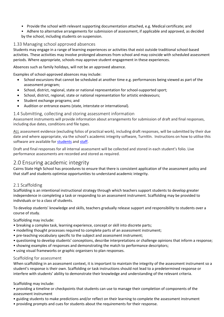- Provide the school with relevant supporting documentation attached, e.g. Medical certificate; and
- Adhere to alternative arrangements for submission of assessment, if applicable and approved, as decided by the school, including students on suspension.

#### 1.33 Managing school approved absences

Students may engage in a range of learning experiences or activities that exist outside traditional school-based activities. These activities may involve prolonged absences from school and may coincide with scheduled assessment periods. Where appropriate, schools may approve student engagement in these experiences.

Absences such as family holidays, will not be an approved absence.

Examples of school-approved absences may include:

- School excursions that cannot be scheduled at another time e.g. performances being viewed as part of the assessment program;
- School, district, regional, state or national representation for school-supported sport;
- School, district, regional, state or national representation for artistic endeavours;
- Student exchange programs; and
- Audition or entrance exams (state, interstate or international).

#### 1.4 Submitting, collecting and storing assessment information

Assessment instruments will provide information about arrangements for submission of draft and final responses, including due dates, conditions and file types.

ALL assessment evidence (excluding folios of practical work), including draft responses, will be submitted by their due date and where appropriate, via the school's academic integrity software, TurnItIn. Instructions on how to utilise this software are available for [students](https://help.turnitin.com/feedback-studio/turnitin-website/student/quickstart.htm?_ga=2.169731234.2020999876.1569967150-1576109824.1569967150) an[d staff.](https://help.turnitin.com/feedback-studio/turnitin-website/instructor/quickstart.htm?_ga=2.218612762.2020999876.1569967150-1576109824.1569967150)

Draft and final responses for all internal assessment will be collected and stored in each student's folio. Live performance assessments are recorded and stored as required.

## 2.0 Ensuring academic integrity

Cairns State High School has procedures to ensure that there is consistent application of the assessment policy and that staff and students optimise opportunities to understand academic integrity.

#### 2.1 Scaffolding

Scaffolding is an intentional instructional strategy through which teachers support students to develop greater independence in completing a task or responding to an assessment instrument. Scaffolding may be provided to individuals or to a class of students.

To develop students' knowledge and skills, teachers gradually release support and responsibility to students over a course of study.

Scaffolding may include:

- breaking a complex task, learning experience, concept or skill into discrete parts;
- modelling thought processes required to complete parts of an assessment instrument;
- pre-teaching vocabulary specific to the subject and assessment instrument;
- questioning to develop students' conceptions, describe interpretations or challenge opinions that inform a response;
- showing examples of responses and demonstrating the match to performance descriptors;
- using visual frameworks or graphic organisers to plan responses.

#### Scaffolding for assessment

When scaffolding in an assessment context, it is important to maintain the integrity of the assessment instrument so a student's response is their own. Scaffolding or task instructions should not lead to a predetermined response or interfere with students' ability to demonstrate their knowledge and understanding of the relevant criteria.

Scaffolding may include:

• providing a timeline or checkpoints that students can use to manage their completion of components of the assessment instrument

- guiding students to make predictions and/or reflect on their learning to complete the assessment instrument
- providing prompts and cues for students about the requirements for their response.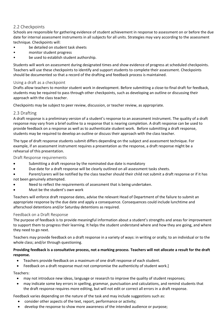#### 2.2 Checkpoints

Schools are responsible for gathering evidence of student achievement in response to assessment on or before the due date for internal assessment instruments in all subjects for all units. Strategies may vary according to the assessment technique. Checkpoints will:

- be detailed on student task sheets
- monitor student progress
- be used to establish student authorship.

Students will work on assessment during designated times and show evidence of progress at scheduled checkpoints. Teachers will use these checkpoints to identify and support students to complete their assessment. Checkpoints should be documented so that a record of the drafting and feedback process is maintained.

#### Using a draft as a checkpoint

Drafts allow teachers to monitor student work in development. Before submitting a close-to-final draft for feedback, students may be required to pass through other checkpoints, such as developing an outline or discussing their approach with the class teacher.

Checkpoints may be subject to peer review, discussion, or teacher review, as appropriate.

#### 2.3 Drafting

A draft response is a preliminary version of a student's response to an assessment instrument. The quality of a draft response may vary from a brief outline to a response that is nearing completion. A draft response can be used to provide feedback on a response as well as to authenticate student work. Before submitting a draft response, students may be required to develop an outline or discuss their approach with the class teacher.

The type of draft response students submit differs depending on the subject and assessment technique. For example, if an assessment instrument requires a presentation as the response, a draft response might be a rehearsal of this presentation.

Draft Response requirements

- Submitting a draft response by the nominated due date is mandatory
- Due date for a draft response will be clearly outlined on all assessment tasks sheets.
- Parent/carers will be notified by the class teacher should their child not submit a draft response or if it has not been genuinely attempted.
- Need to reflect the requirements of assessment that is being undertaken.
- Must be the student's own work

Teachers will enforce draft response dates, advise the relevant Head of Department of the failure to submit an appropriate response by the due date and apply a consequence. Consequences could include lunchtime and afterschool detentions and/or Saturday detentions as required.

#### Feedback on a Draft Response

The purpose of feedback is to provide meaningful information about a student's strengths and areas for improvement to support them to progress their learning. It helps the student understand where and how they are going, and where they need to go next.

Teachers may provide feedback on a draft response in a variety of ways: in writing or orally; to an individual or to the whole class; and/or through questioning.

#### **Providing feedback is a consultative process, not a marking process**. **Teachers will not allocate a result for the draft response.**

- Teachers provide feedback on a maximum of one draft response of each student.
- Feedback on a draft response must not compromise the authenticity of student work.]

Teachers:

- may not introduce new ideas, language or research to improve the quality of student responses;
- may indicate some key errors in spelling, grammar, punctuation and calculations, and remind students that the draft response requires more editing, but will not edit or correct all errors in a draft response.

Feedback varies depending on the nature of the task and may include suggestions such as:

- consider other aspects of the text, report, performance or activity;
- develop the response to show more awareness of the intended audience or purpose;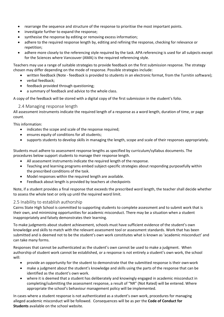- rearrange the sequence and structure of the response to prioritise the most important points.
- investigate further to expand the response:
- synthesise the response by editing or removing excess information;
- adhere to the required response length by, editing and refining the response, checking for relevance or repetition;
- adhere more closely to the referencing style required by the task. APA referencing is used for all subjects except for the Sciences where Vancouver (AMA) is the required referencing style.

Teachers may use a range of suitable strategies to provide feedback on the first submission response. The strategy chosen may differ depending on the mode of response. Possible strategies include:

- written feedback (Note feedback is provided to students in an electronic format, from the Turnitin software);
- verbal feedback:
- feedback provided through questioning;
- a summary of feedback and advice to the whole class.

A copy of the feedback will be stored with a digital copy of the first submission in the student's folio.

#### 2.4 Managing response length

All assessment instruments indicate the required length of a response as a word length, duration of time, or page count.

This information:

- indicates the scope and scale of the response required;
- ensures equity of conditions for all students;
- supports students to develop skills in managing the length, scope and scale of their responses appropriately.

Students must adhere to assessment response lengths as specified by curriculum/syllabus documents. The procedures below support students to manage their response length.

- All assessment instruments indicate the required length of the response.
- Teaching and learning programs embed subject-specific strategies about responding purposefully within the prescribed conditions of the task.
- Model responses within the required length are available.
- Feedback about length is provided by teachers at checkpoints

Note, if a student provides a final response that exceeds the prescribed word length, the teacher shall decide whether to assess the whole text or only up until the required word limit.

#### 2.5 Inability to establish authorship

Cairns State High School is committed to supporting students to complete assessment and to submit work that is their own, and minimising opportunities for academic misconduct. There may be a situation when a student inappropriately and falsely demonstrates their learning.

To make judgments about student achievement, schools must have sufficient evidence of the student's own knowledge and skills to match with the relevant assessment tool or assessment standards. Work that has been submitted and is deemed not to be the student's own work constitutes what is known as 'academic misconduct' and can take many forms.

Responses that cannot be authenticated as the student's own cannot be used to make a judgment. When authorship of student work cannot be established, or a response is not entirely a student's own work, the school will:

- provide an opportunity for the student to demonstrate that the submitted response is their ownwork
- make a judgment about the student's knowledge and skills using the parts of the response that can be identified as the student's own work.
- where it is deemed that a student has deliberately and knowingly engaged in academic misconduct in completing/submitting the assessment response, a result of "NR" (Not Rated) will be entered. Where appropriate the school's behaviour management policy will be implemented.

In cases where a student response is not authenticated as a student's own work, procedures for managing alleged academic misconduct will be followed. Consequences will be as per the **Code of Conduct for Students** available on the school website.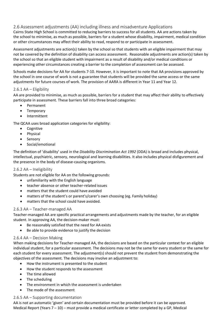#### 2.6 Assessment adjustments (AA) including illness and misadventure Applications

Cairns State High School is committed to reducing barriers to success for all students. AA are actions taken by the school to minimise, as much as possible, barriers for a student whose disability, impairment, medical condition or other circumstances may affect their ability to read, respond to or participate in assessment.

Assessment adjustments are action(s) taken by the school so that students with an eligible impairment that may not be covered by the definition of disability can access assessment. Reasonable adjustments are action(s) taken by the school so that an eligible student with impairment as a result of disability and/or medical conditions or experiencing other circumstances creating a barrier to the completion of assessment can be assessed.

Schools make decisions for AA for students 7-10. However, it is important to note that AA provisions approved by the school in one course of work is not a guarantee that students will be provided the same access or the same adjustments for future courses of work. The provision of AARA is different in Year 11 and Year 12.

#### 2.6.1 AA – Eligibility

AA are provided to minimise, as much as possible, barriers for a student that may affect their ability to effectively participate in assessment. These barriers fall into three broad categories:

- Permanent
- Temporary
- **Intermittent**

The QCAA uses broad application categories for eligibility:

- Cognitive
- Physical
- Sensory
- Social/emotional

The definition of 'disability' used in the *Disability Discrimination Act 1992* (DDA) is broad and includes physical, intellectual, psychiatric, sensory, neurological and learning disabilities. It also includes physical disfigurement and the presence in the body of disease-causing organisms.

#### 2.6.2 AA – Ineligibility

Students are not eligible for AA on the following grounds:

- unfamiliarity with the English language
- teacher absence or other teacher-related issues
- matters that the student could have avoided
- matters of the student's or parent's/carer's own choosing (eg. Family holiday)
- matters that the school could have avoided.

#### 2.6.3 AA – Teacher-managed AA

Teacher-managed AA are specific practical arrangements and adjustments made by the teacher, for an eligible student. In approving AA, the decision-maker must:

- Be reasonably satisfied that the need for AA exists
- Be able to provide evidence to justify the decision

#### 2.6.4 AA – Decision Making

When making decisions for Teacher-managed AA, the decisions are based on the particular context for an eligible individual student, for a particular assessment. The decisions may not be the same for every student or the same for each student for every assessment. The adjustment(s) should not prevent the student from demonstrating the objectives of the assessment. The decisions may involve an adjustment to:

- How the instrument is presented to the student
- How the student responds to the assessment
- The time allowed
- The scheduling
- The environment in which the assessment is undertaken
- The mode of the assessment

#### 2.6.5 AA – Supporting documentation

AA is not an automatic 'given' and certain documentation must be provided before it can be approved. Medical Report (Years 7 – 10) – must provide a medical certificate or letter completed by a GP, Medical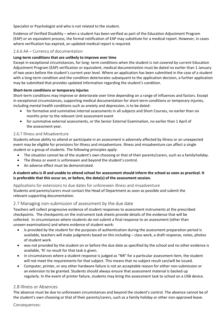Specialist or Psychologist and who is not related to the student.

Evidence of Verified Disability – when a student has been verified as part of the Education Adjustment Program (EAP) or an equivalent process, the formal notification of EAP may substitute for a medical report. However, in cases where verification has expired, an updated medical report is required.

#### 2.6.6 AA – Currency of documentation

#### **Long-term conditions that are unlikely to improve over time**

Except in exceptional circumstances, for long- term conditions when the student is not covered by current Education Adjustment Program (EAP) verification or equivalent, medical documentation must be dated no earlier than 1 January of two years before the student's current year level. Where an application has been submitted in the case of a student with a long-term condition and the condition deteriorates subsequent to the application decision, a further application may be submitted that provides updated information regarding the student's condition.

#### **Short-term conditions or temporary injuries**

Short-term conditions may improve or deteriorate over time depending on a range of influences and factors. Except in exceptional circumstances, supporting medical documentation for short-term conditions or temporary injuries, including mental health conditions such as anxiety and depression, is to be dated:

- for formative and summative internal assessments in all subjects and Short Courses, no earlier than six months prior to the relevant Unit assessment event
- for summative external assessments, or the Senior External Examination, no earlier than 1 April of the assessment year.

#### 2.6.7 Illness and Misadventure

Students whose ability to attend or participate in an assessment is adversely affected by illness or an unexpected event may be eligible for provisions for illness and misadventure. Illness and misadventure can affect a single student or a group of students. The following principles apply:

- The situation cannot be of the student's own choosing or that of their parents/carers, such as a familyholiday.
- The illness or event is unforeseen and beyond the student's control.
- An adverse effect must be demonstrated.

#### **A student who is ill and unable to attend school for assessment should inform the school as soon as practical. It is preferable that this occur on, or before, the date(s) of the assessment session.**

Applications for extensions to due dates for unforeseen illness and misadventure Students and parents/carers must contact the Head of Department as soon as possible and submit the relevant supporting documentation.

#### 2.7 Managing non-submission of assessment by the due date

Teachers will collect progressive evidence of student responses to assessment instruments at the prescribed checkpoints. The checkpoints on the instrument task sheets provide details of the evidence that will be collected. In circumstances where students do not submit a final response to an assessment (other than unseen examinations) and where evidence of student work:

- Is provided by the student for the purposes of authentication during the assessment preparation period is available, teachers will make judgments based on this including – class work, a draft response, notes, photos of student work.
- was not provided by the student on or before the due date as specified by the school and no other evidence is available, 'N' no result for that task is given.
- in circumstances where a student response is judged as "NR" for a particular assessment item, the student will not meet the requirements for that subject. This means that no subject result can/will be issued.
- Computer, printer, or any other hardware failure is not an acceptable reason for either non-submission or an extension to be granted. Students should always ensure that assessment material is backed up regularly. In the event of printer failure, students may bring the assessment task to school on a USB device.

#### 2.8 Illness or Absences

The absence must be due to unforeseen circumstances and beyond the student's control. The absence cannot be of the student's own choosing or that of their parents/carers, such as a family holiday or other non-approved leave.

Consequences: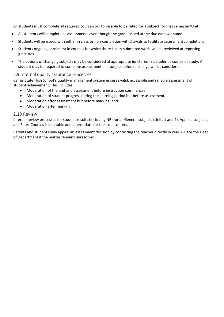All students must complete all required coursework to be able to be rated for a subject for that semester/Unit.

- All students will complete all assessments even though the grade issued at the due date will stand.
- Students will be issued with either in class or non-completion withdrawals to facilitate assessment completion.
- Students ongoing enrolment in courses for which there is non-submitted work, will be reviewed at reporting junctures.
- The options of changing subjects may be considered at appropriate junctures in a student's course of study. A student may be required to complete assessment in a subject before a change will be considered.

#### 2.9 Internal quality assurance processes

Cairns State High School's quality management system ensures valid, accessible and reliable assessment of student achievement. This includes:

- Moderation of the unit and assessment before instruction commences;
- Moderation of student progress during the learning period but before assessment;
- Moderation after assessment but before marking; and
- Moderation after marking.

#### 2.10 Review

Internal review processes for student results (including NR) for all General subjects (Units 1 and 2), Applied subjects, and Short Courses is equitable and appropriate for the local context.

Parents and students may appeal an assessment decision by contacting the teacher directly in year 7-10 or the Head of Department if the matter remains unresolved.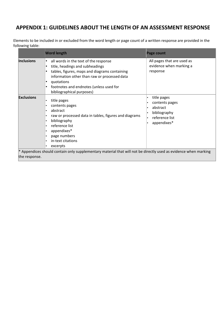# **APPENDIX 1: GUIDELINES ABOUT THE LENGTH OF AN ASSESSMENT RESPONSE**

Elements to be included in or excluded from the word length or page count of a written response are provided in the following table:

|                   | <b>Word length</b>                                                                                                                                                                                                                                                   | <b>Page count</b>                                                                          |
|-------------------|----------------------------------------------------------------------------------------------------------------------------------------------------------------------------------------------------------------------------------------------------------------------|--------------------------------------------------------------------------------------------|
| <b>Inclusions</b> | all words in the text of the response<br>٠<br>title, headings and subheadings<br>tables, figures, maps and diagrams containing<br>information other than raw or processed data<br>quotations<br>footnotes and endnotes (unless used for<br>bibliographical purposes) | All pages that are used as<br>evidence when marking a<br>response                          |
| <b>Exclusions</b> | title pages<br>contents pages<br>abstract<br>raw or processed data in tables, figures and diagrams<br>bibliography<br>reference list<br>appendixes*<br>page numbers<br>in-text citations<br>excerpts                                                                 | title pages<br>contents pages<br>abstract<br>bibliography<br>reference list<br>appendixes* |
| the response.     | * Appendices should contain only supplementary material that will not be directly used as evidence when marking                                                                                                                                                      |                                                                                            |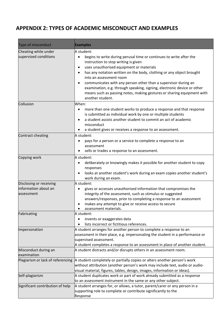# **APPENDIX 2: TYPES OF ACADEMIC MISCONDUCT AND EXAMPLES**

| Type of misconduct                                            | <b>Examples</b>                                                                                                                                                                                                                                                                                                                                                                                                                                                                                                                                 |
|---------------------------------------------------------------|-------------------------------------------------------------------------------------------------------------------------------------------------------------------------------------------------------------------------------------------------------------------------------------------------------------------------------------------------------------------------------------------------------------------------------------------------------------------------------------------------------------------------------------------------|
| Cheating while under<br>supervised conditions                 | A student:<br>begins to write during perusal time or continues to write after the<br>$\bullet$<br>instruction to stop writing is given<br>uses unauthorised equipment or materials<br>٠<br>has any notation written on the body, clothing or any object brought<br>٠<br>into an assessment room<br>communicates with any person other than a supervisor during an<br>٠<br>examination, e.g. through speaking, signing, electronic device or other<br>means such as passing notes, making gestures or sharing equipment with<br>another student. |
| Collusion                                                     | When:<br>more than one student works to produce a response and that response<br>$\bullet$<br>is submitted as individual work by one or multiple students<br>a student assists another student to commit an act of academic<br>$\bullet$<br>misconduct<br>a student gives or receives a response to an assessment.<br>٠                                                                                                                                                                                                                          |
| Contract cheating                                             | A student:<br>pays for a person or a service to complete a response to an<br>٠<br>assessment<br>sells or trades a response to an assessment.                                                                                                                                                                                                                                                                                                                                                                                                    |
| Copying work                                                  | A student:<br>deliberately or knowingly makes it possible for another student to copy<br>٠<br>responses<br>looks at another student's work during an exam copies another student's<br>$\bullet$<br>work during an exam.                                                                                                                                                                                                                                                                                                                         |
| Disclosing or receiving<br>information about an<br>assessment | A student:<br>gives or accesses unauthorised information that compromises the<br>integrity of the assessment, such as stimulus or suggested<br>answers/responses, prior to completing a response to an assessment<br>makes any attempt to give or receive access to secure<br>٠<br>assessment materials.                                                                                                                                                                                                                                        |
| Fabricating                                                   | A student:<br>invents or exaggerates data<br>lists incorrect or fictitious references.                                                                                                                                                                                                                                                                                                                                                                                                                                                          |
| Impersonation                                                 | A student arranges for another person to complete a response to an<br>assessment in their place, e.g. impersonating the student in a performance or<br>supervised assessment.<br>A student completes a response to an assessment in place of another student.                                                                                                                                                                                                                                                                                   |
| Misconduct during an<br>examination                           | A student distracts and/or disrupts others in an assessment room.                                                                                                                                                                                                                                                                                                                                                                                                                                                                               |
| Plagiarism or lack of referencing                             | A student completely or partially copies or alters another person's work<br>without attribution (another person's work may include text, audio or audio-<br>visual material, figures, tables, design, images, information or ideas).                                                                                                                                                                                                                                                                                                            |
| Self-plagiarism                                               | A student duplicates work or part of work already submitted as a response<br>to an assessment instrument in the same or any other subject.                                                                                                                                                                                                                                                                                                                                                                                                      |
| Significant contribution of help                              | A student arranges for, or allows, a tutor, parent/carer or any person in a<br>supporting role to complete or contribute significantly to the<br>Response                                                                                                                                                                                                                                                                                                                                                                                       |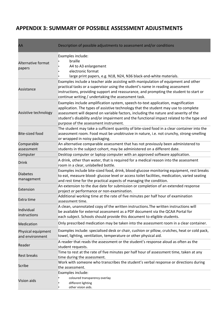# **APPENDIX 3: SUMMARY OF POSSIBLE ASSESSMENT ADJUSTMENTS**

| AA                                    | Description of possible adjustments to assessment and/or conditions                                                                                                                                                                                                                                                                                                                                  |
|---------------------------------------|------------------------------------------------------------------------------------------------------------------------------------------------------------------------------------------------------------------------------------------------------------------------------------------------------------------------------------------------------------------------------------------------------|
| Alternative format<br>papers          | Examples include:<br>braille<br>A4 to A3 enlargement<br>electronic format<br>large print papers, e.g. N18, N24, N36 black-and-white materials.                                                                                                                                                                                                                                                       |
| Assistance                            | Examples include a teacher aide assisting with manipulation of equipment and other<br>practical tasks or a supervisor using the student's name in reading assessment<br>instructions, providing support and reassurance, and prompting the student to start or<br>continue writing / undertaking the assessment task.                                                                                |
| Assistive technology                  | Examples include amplification system, speech-to-text application, magnification<br>application. The types of assistive technology that the student may use to complete<br>assessment will depend on variable factors, including the nature and severity of the<br>student's disability and/or impairment and the functional impact related to the type and<br>purpose of the assessment instrument. |
| <b>Bite-sized food</b>                | The student may take a sufficient quantity of bite-sized food in a clear container into the<br>assessment room. Food must be unobtrusive in nature, i.e. not crunchy, strong-smelling<br>or wrapped in noisy packaging.                                                                                                                                                                              |
| Comparable<br>assessment              | An alternative comparable assessment that has not previously been administered to<br>students in the subject cohort, may be administered on a different date.                                                                                                                                                                                                                                        |
| Computer                              | Desktop computer or laptop computer with an approved software application.                                                                                                                                                                                                                                                                                                                           |
| <b>Drink</b>                          | A drink, other than water, that is required for a medical reason into the assessment<br>room in a clear, unlabelled bottle.                                                                                                                                                                                                                                                                          |
| <b>Diabetes</b><br>management         | Examples include bite-sized food, drink, blood-glucose monitoring equipment, rest breaks<br>to eat, measure blood- glucose level or access toilet facilities, medication, varied seating<br>and rest time for the practical aspects of managing the condition.                                                                                                                                       |
| Extension                             | An extension to the due date for submission or completion of an extended response<br>project or performance or non-examination.                                                                                                                                                                                                                                                                      |
| Extra time                            | Additional working time at the rate of five minutes per half hour of examination<br>assessment time.                                                                                                                                                                                                                                                                                                 |
| Individual<br>instructions            | A clean, unannotated copy of the written instructions. The written instructions will<br>be available for external assessment as a PDF document via the QCAA Portal for<br>each subject. Schools should provide this document to eligible students.                                                                                                                                                   |
| <b>Medication</b>                     | Only prescribed medication may be taken into the assessment room in a clear container.                                                                                                                                                                                                                                                                                                               |
| Physical equipment<br>and environment | Examples include: specialised desk or chair, cushion or pillow, crutches, heat or cold pack,<br>towel, lighting, ventilation, temperature or other physical aid.                                                                                                                                                                                                                                     |
| Reader                                | A reader that reads the assessment or the student's response aloud as often as the<br>student requests.                                                                                                                                                                                                                                                                                              |
| <b>Rest breaks</b>                    | Time to rest at the rate of five minutes per half hour of assessment time, taken at any<br>time during the assessment.                                                                                                                                                                                                                                                                               |
| Scribe                                | Work with someone who transcribes the student's verbal response or directions during<br>the assessment.                                                                                                                                                                                                                                                                                              |
| Vision aids                           | Examples include:<br>coloured transparency overlay<br>different lighting<br>other vision aids.                                                                                                                                                                                                                                                                                                       |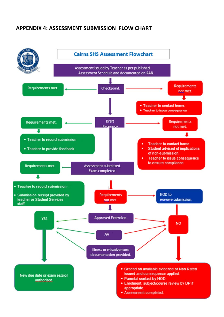# **APPENDIX 4: ASSESSMENT SUBMISSION FLOW CHART**

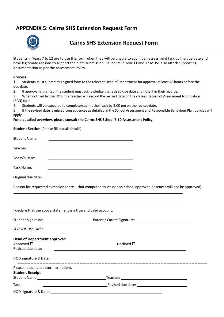# **APPENDIX 5: Cairns SHS Extension Request Form**



# **Cairns SHS Extension Request Form**

Students in Years 7 to 12 are to use this form when they will be unable to submit an assessment task by the due date and have legitimate reasons to support their late submission. Students in Year 11 and 12 MUST also attach supporting documentation as per the Assessment Policy.

#### **Process:**

1. Students must submit this signed form to the relevant Head of Department for approval at least 48 hours before the due date.

2. If approval is granted, the student must acknowledge the revised due date and note it in theirrecords.

3. When notified by the HOD, the teacher will record the revised date on the classes Record of Assessment Notification (RAN) form.

4. Students will be expected to complete/submit their task by 3:00 pm on the revised date.

5. If the revised date is missed consequences as detailed in the School Assessment and Responsible Behaviour Plan policies will apply.

#### **For a detailed overview, please consult the Cairns SHS School 7-10 Assessment Policy.**

**Student Section** (Please fill out all details)

| <b>Student Name:</b>                    |                                                                                                                                                                                                                                |
|-----------------------------------------|--------------------------------------------------------------------------------------------------------------------------------------------------------------------------------------------------------------------------------|
| Teacher:                                |                                                                                                                                                                                                                                |
| Today's Date:                           |                                                                                                                                                                                                                                |
| Task Name:                              |                                                                                                                                                                                                                                |
|                                         |                                                                                                                                                                                                                                |
|                                         | Reason for requested extension (note - that computer issues or non-school approved absences will not be approved):                                                                                                             |
|                                         | I declare that the above statement is a true and valid account:                                                                                                                                                                |
|                                         |                                                                                                                                                                                                                                |
| <b>SCHOOL USE ONLY</b>                  |                                                                                                                                                                                                                                |
| <b>Head of Department approval:</b>     |                                                                                                                                                                                                                                |
| Approved $\square$<br>Revised due date: | Declined $\square$                                                                                                                                                                                                             |
|                                         |                                                                                                                                                                                                                                |
| Please detach and return to student.    |                                                                                                                                                                                                                                |
| <b>Student Receipt</b>                  |                                                                                                                                                                                                                                |
|                                         | Student Name: 1988 and 2008 and 2008 and 2008 and 2008 and 2008 and 2008 and 2008 and 2008 and 2008 and 2008 and 2008 and 2008 and 2008 and 2008 and 2008 and 2008 and 2008 and 2008 and 2008 and 2008 and 2008 and 2008 and 2 |
| Task:                                   |                                                                                                                                                                                                                                |
| HOD signature & Date:                   |                                                                                                                                                                                                                                |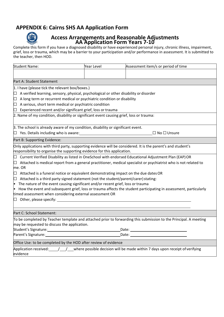# **APPENDIX 6: Cairns SHS AA Application Form**



# **Access Arrangements and Reasonable Adjustments AA Application Form Years 7-10**

Complete this form if you have a diagnosed disability or have experienced personal injury, chronic illness, impairment, grief, loss or trauma, which may be a barrier to your participation and/or performance in assessment. It is submitted to the teacher, then HOD.

| <b>Student Name:</b>                                                                                                                                                                     | <b>Year Level</b>                                                                                                                                                                                                                                                                                                                                                                                                                                                | Assessment item/s or period of time                                                                                     |  |
|------------------------------------------------------------------------------------------------------------------------------------------------------------------------------------------|------------------------------------------------------------------------------------------------------------------------------------------------------------------------------------------------------------------------------------------------------------------------------------------------------------------------------------------------------------------------------------------------------------------------------------------------------------------|-------------------------------------------------------------------------------------------------------------------------|--|
|                                                                                                                                                                                          |                                                                                                                                                                                                                                                                                                                                                                                                                                                                  |                                                                                                                         |  |
| Part A: Student Statement                                                                                                                                                                |                                                                                                                                                                                                                                                                                                                                                                                                                                                                  |                                                                                                                         |  |
| 1. I have (please tick the relevant box/boxes.)                                                                                                                                          |                                                                                                                                                                                                                                                                                                                                                                                                                                                                  |                                                                                                                         |  |
| $\Box$ A verified learning, sensory, physical, psychological or other disability or disorder                                                                                             |                                                                                                                                                                                                                                                                                                                                                                                                                                                                  |                                                                                                                         |  |
| A long term or recurrent medical or psychiatric condition or disability<br>$\Box$                                                                                                        |                                                                                                                                                                                                                                                                                                                                                                                                                                                                  |                                                                                                                         |  |
| $\Box$ A serious, short term medical or psychiatric condition                                                                                                                            |                                                                                                                                                                                                                                                                                                                                                                                                                                                                  |                                                                                                                         |  |
| Experienced recent and/or significant grief, loss or trauma<br>$\Box$                                                                                                                    |                                                                                                                                                                                                                                                                                                                                                                                                                                                                  |                                                                                                                         |  |
| 2. Name of my condition, disability or significant event causing grief, loss or trauma:                                                                                                  |                                                                                                                                                                                                                                                                                                                                                                                                                                                                  |                                                                                                                         |  |
| 3. The school is already aware of my condition, disability or significant event.                                                                                                         |                                                                                                                                                                                                                                                                                                                                                                                                                                                                  |                                                                                                                         |  |
| $\Box$ Yes. Details including who is aware:                                                                                                                                              |                                                                                                                                                                                                                                                                                                                                                                                                                                                                  | $\Box$ No $\Box$ Unsure                                                                                                 |  |
| Part B: Supporting Evidence:                                                                                                                                                             |                                                                                                                                                                                                                                                                                                                                                                                                                                                                  |                                                                                                                         |  |
| Only applications with third party, supporting evidence will be considered. It is the parent's and student's<br>responsibility to organise the supporting evidence for this application. |                                                                                                                                                                                                                                                                                                                                                                                                                                                                  |                                                                                                                         |  |
| ப                                                                                                                                                                                        |                                                                                                                                                                                                                                                                                                                                                                                                                                                                  | Current Verified Disability as listed in OneSchool with endorsed Educational Adjustment Plan (EAP) OR                   |  |
| L.<br>me. OR                                                                                                                                                                             | Attached is medical report from a general practitioner, medical specialist or psychiatrist who is not related to                                                                                                                                                                                                                                                                                                                                                 |                                                                                                                         |  |
| Attached is a funeral notice or equivalent demonstrating impact on the due dates OR<br>$\Box$                                                                                            |                                                                                                                                                                                                                                                                                                                                                                                                                                                                  |                                                                                                                         |  |
| Attached is a third party signed statement (not the student/parent/carer) stating:<br>$\Box$                                                                                             |                                                                                                                                                                                                                                                                                                                                                                                                                                                                  |                                                                                                                         |  |
| • The nature of the event causing significant and/or recent grief, loss or trauma                                                                                                        |                                                                                                                                                                                                                                                                                                                                                                                                                                                                  |                                                                                                                         |  |
| How the event and subsequent grief, loss or trauma affects the student participating in assessment, particularly                                                                         |                                                                                                                                                                                                                                                                                                                                                                                                                                                                  |                                                                                                                         |  |
| timed assessment when considering external assessment OR                                                                                                                                 |                                                                                                                                                                                                                                                                                                                                                                                                                                                                  |                                                                                                                         |  |
| $\Box$ Other, please specify:                                                                                                                                                            |                                                                                                                                                                                                                                                                                                                                                                                                                                                                  |                                                                                                                         |  |
| Part C: School Statement:                                                                                                                                                                |                                                                                                                                                                                                                                                                                                                                                                                                                                                                  |                                                                                                                         |  |
|                                                                                                                                                                                          |                                                                                                                                                                                                                                                                                                                                                                                                                                                                  | To be completed by Teacher template and attached prior to forwarding this submission to the Principal. A meeting        |  |
| may be requested to discuss the application.                                                                                                                                             |                                                                                                                                                                                                                                                                                                                                                                                                                                                                  |                                                                                                                         |  |
| Student's Signature: Management of the Student's Signature:<br>Date: <u>Date: Explorer</u>                                                                                               |                                                                                                                                                                                                                                                                                                                                                                                                                                                                  |                                                                                                                         |  |
|                                                                                                                                                                                          | Parent's Signature: The contract of the contract of the contract of the contract of the contract of the contract of the contract of the contract of the contract of the contract of the contract of the contract of the contra<br>Date: the contract of the contract of the contract of the contract of the contract of the contract of the contract of the contract of the contract of the contract of the contract of the contract of the contract of the cont |                                                                                                                         |  |
| Office Use: to be completed by the HOD after review of evidence                                                                                                                          |                                                                                                                                                                                                                                                                                                                                                                                                                                                                  |                                                                                                                         |  |
| evidence                                                                                                                                                                                 |                                                                                                                                                                                                                                                                                                                                                                                                                                                                  | Application received: $\frac{1}{\sqrt{2}}$ where possible decision will be made within 7 days upon receipt of verifying |  |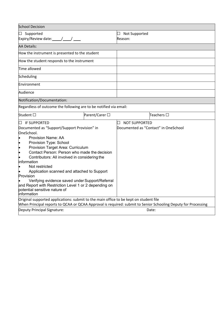| <b>School Decision</b>                                                                                        |                                                  |                                      |  |
|---------------------------------------------------------------------------------------------------------------|--------------------------------------------------|--------------------------------------|--|
| Supported<br>LJ -                                                                                             | Not Supported<br>$\overline{\phantom{a}}$        |                                      |  |
| Expiry/Review date: $\sqrt{2}$                                                                                | Reason:                                          |                                      |  |
| <b>AA Details:</b>                                                                                            |                                                  |                                      |  |
| How the instrument is presented to the student                                                                |                                                  |                                      |  |
| How the student responds to the instrument                                                                    |                                                  |                                      |  |
| Time allowed                                                                                                  |                                                  |                                      |  |
| Scheduling                                                                                                    |                                                  |                                      |  |
| Environment                                                                                                   |                                                  |                                      |  |
| Audience                                                                                                      |                                                  |                                      |  |
| Notification/Documentation:                                                                                   |                                                  |                                      |  |
| Regardless of outcome the following are to be notified via email:                                             |                                                  |                                      |  |
| Student □<br>Parent/Carer □                                                                                   |                                                  | $\sf {Teaches} \; \Box$              |  |
| <b>IF SUPPORTED</b><br>$\Box$                                                                                 | <b>NOT SUPPORTED</b><br>$\overline{\phantom{a}}$ |                                      |  |
| Documented as "Support/Support Provision" in                                                                  |                                                  | Documented as "Contact" in OneSchool |  |
| OneSchool.                                                                                                    |                                                  |                                      |  |
| <b>Provision Name: AA</b>                                                                                     |                                                  |                                      |  |
| Provision Type: School<br>$\bullet$                                                                           |                                                  |                                      |  |
| $\bullet$<br>Provision Target Area: Curriculum<br>Contact Person: Person who made the decision                |                                                  |                                      |  |
| $\bullet$                                                                                                     |                                                  |                                      |  |
| Contributors: All involved in considering the<br>information                                                  |                                                  |                                      |  |
| Not restricted                                                                                                |                                                  |                                      |  |
| Application scanned and attached to Support                                                                   |                                                  |                                      |  |
| Provision                                                                                                     |                                                  |                                      |  |
| Verifying evidence saved under Support/Referral                                                               |                                                  |                                      |  |
| and Report with Restriction Level 1 or 2 depending on                                                         |                                                  |                                      |  |
| potential sensitive nature of                                                                                 |                                                  |                                      |  |
| information                                                                                                   |                                                  |                                      |  |
| Original supported applications: submit to the main office to be kept on student file                         |                                                  |                                      |  |
| When Principal reports to QCAA or QCAA Approval is required: submit to Senior Schooling Deputy for Processing |                                                  |                                      |  |
| Deputy Principal Signature:                                                                                   |                                                  | Date:                                |  |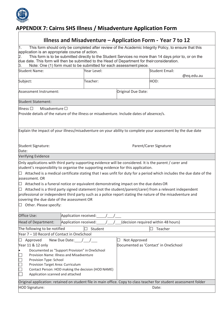

# **APPENDIX 7: Cairns SHS Illness / Misadventure Application Form**

| Illness and Misadventure – Application Form - Year 7 to 12                                                                                                                                                                                                                                                                                                                                                                                                                                                                                                                                                                                                                                                                               |                                                                                                                                                                              |                    |                                                                                                                    |  |
|------------------------------------------------------------------------------------------------------------------------------------------------------------------------------------------------------------------------------------------------------------------------------------------------------------------------------------------------------------------------------------------------------------------------------------------------------------------------------------------------------------------------------------------------------------------------------------------------------------------------------------------------------------------------------------------------------------------------------------------|------------------------------------------------------------------------------------------------------------------------------------------------------------------------------|--------------------|--------------------------------------------------------------------------------------------------------------------|--|
| This form should only be completed after review of the Academic Integrity Policy, to ensure that this<br>application is an appropriate course of action.<br>This form is to be submitted directly to the Student Services no more than 14 days prior to, or on the<br>due date. This form will then be submitted to the Head of Department for their consideration.<br>Note: One (1) form must to be submitted for each assessment piece.                                                                                                                                                                                                                                                                                                |                                                                                                                                                                              |                    |                                                                                                                    |  |
| <b>Student Name:</b>                                                                                                                                                                                                                                                                                                                                                                                                                                                                                                                                                                                                                                                                                                                     | Year Level:                                                                                                                                                                  |                    | <b>Student Email:</b>                                                                                              |  |
|                                                                                                                                                                                                                                                                                                                                                                                                                                                                                                                                                                                                                                                                                                                                          |                                                                                                                                                                              |                    | @eq.edu.au                                                                                                         |  |
| Subject:                                                                                                                                                                                                                                                                                                                                                                                                                                                                                                                                                                                                                                                                                                                                 | Teacher:                                                                                                                                                                     |                    | HOD:                                                                                                               |  |
| Assessment Instrument:                                                                                                                                                                                                                                                                                                                                                                                                                                                                                                                                                                                                                                                                                                                   |                                                                                                                                                                              | Original Due Date: |                                                                                                                    |  |
| <b>Student Statement:</b>                                                                                                                                                                                                                                                                                                                                                                                                                                                                                                                                                                                                                                                                                                                |                                                                                                                                                                              |                    |                                                                                                                    |  |
| $\blacksquare$ Illness<br>Misadventure $\square$                                                                                                                                                                                                                                                                                                                                                                                                                                                                                                                                                                                                                                                                                         | Provide details of the nature of the illness or misadventure. Include dates of absence/s.                                                                                    |                    |                                                                                                                    |  |
| Explain the impact of your illness/misadventure on your ability to complete your assessment by the due date                                                                                                                                                                                                                                                                                                                                                                                                                                                                                                                                                                                                                              |                                                                                                                                                                              |                    |                                                                                                                    |  |
| Student Signature:<br>Date:                                                                                                                                                                                                                                                                                                                                                                                                                                                                                                                                                                                                                                                                                                              |                                                                                                                                                                              |                    | Parent/Carer Signature                                                                                             |  |
| Verifying Evidence                                                                                                                                                                                                                                                                                                                                                                                                                                                                                                                                                                                                                                                                                                                       |                                                                                                                                                                              |                    |                                                                                                                    |  |
| Only applications with third party supporting evidence will be considered. It is the parent / carer and<br>student's responsibility to organise the supporting evidence for this application.<br>Attached is a medical certificate stating that I was unfit for duty for a period which includes the due date of the<br>assessment. OR<br>Attached is a funeral notice or equivalent demonstrating impact on the due dates OR<br>⊔<br>Attached is a third party signed statement (not the student/parent/carer) from a relevant independent<br>professional or independent third party such as a police report stating the nature of the misadventure and<br>covering the due date of the assessment OR<br>$\Box$ Other. Please specify: |                                                                                                                                                                              |                    |                                                                                                                    |  |
| Office Use:                                                                                                                                                                                                                                                                                                                                                                                                                                                                                                                                                                                                                                                                                                                              | Application received:                                                                                                                                                        |                    |                                                                                                                    |  |
| Head of Department:                                                                                                                                                                                                                                                                                                                                                                                                                                                                                                                                                                                                                                                                                                                      | Application received:                                                                                                                                                        |                    | (decision required within 48 hours)                                                                                |  |
| The following to be notified<br>Teacher<br>Student                                                                                                                                                                                                                                                                                                                                                                                                                                                                                                                                                                                                                                                                                       |                                                                                                                                                                              |                    |                                                                                                                    |  |
| Year 7 - 10 Record of Contact in OneSchool                                                                                                                                                                                                                                                                                                                                                                                                                                                                                                                                                                                                                                                                                               |                                                                                                                                                                              |                    |                                                                                                                    |  |
| Approved<br>Year 11 & 12 only<br>Provision Type: School<br>Provision Target Area: Curriculum<br>Application scanned and attached                                                                                                                                                                                                                                                                                                                                                                                                                                                                                                                                                                                                         | New Due Date: $\sqrt{ }$<br>Documented as "Support Provision" in OneSchool<br>Provision Name: Illness and Misadventure<br>Contact Person: HOD making the decision (HOD NAME) | Not Approved       | Documented as 'Contact' in OneSchool                                                                               |  |
|                                                                                                                                                                                                                                                                                                                                                                                                                                                                                                                                                                                                                                                                                                                                          |                                                                                                                                                                              |                    | Original application: retained on student file in main office. Copy to class teacher for student assessment folder |  |
| HOD Signature:                                                                                                                                                                                                                                                                                                                                                                                                                                                                                                                                                                                                                                                                                                                           |                                                                                                                                                                              |                    | Date:                                                                                                              |  |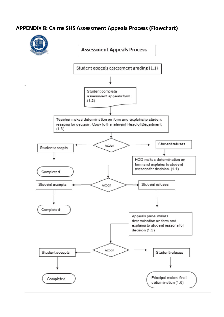# **APPENDIX 8: Cairns SHS Assessment Appeals Process (Flowchart)**



**Assessment Appeals Process** 

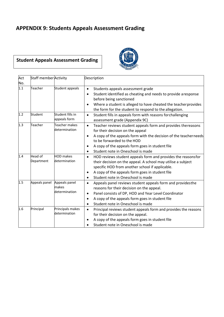# **APPENDIX 9: Students Appeals Assessment Grading**

# **Student Appeals Assessment Grading**



| Act | <b>Staff member Activity</b> |                                         | Description                                                                                                                                                                                                                                                                                       |
|-----|------------------------------|-----------------------------------------|---------------------------------------------------------------------------------------------------------------------------------------------------------------------------------------------------------------------------------------------------------------------------------------------------|
| No. |                              |                                         |                                                                                                                                                                                                                                                                                                   |
| 1.1 | Teacher                      | Student appeals                         | Students appeals assessment grade<br>$\bullet$<br>Student identified as cheating and needs to provide aresponse<br>$\bullet$                                                                                                                                                                      |
|     |                              |                                         | before being sanctioned                                                                                                                                                                                                                                                                           |
|     |                              |                                         | Where a student is alleged to have cheated the teacher provides<br>$\bullet$<br>the form for the student to respond to the allegation.                                                                                                                                                            |
| 1.2 | Student                      | Student fills in<br>appeals form        | Student fills in appeals form with reasons forchallenging<br>$\bullet$<br>assessment grade (Appendix 9C)                                                                                                                                                                                          |
| 1.3 | Teacher                      | Teacher makes<br>determination          | Teacher reviews student appeals form and provides thereasons<br>$\bullet$<br>for their decision on the appeal                                                                                                                                                                                     |
|     |                              |                                         | A copy of the appeals form with the decision of the teacherneeds<br>$\bullet$<br>to be forwarded to the HOD                                                                                                                                                                                       |
|     |                              |                                         | A copy of the appeals form goes in student file<br>$\bullet$<br>Student note in Oneschool is made<br>$\bullet$                                                                                                                                                                                    |
| 1.4 | Head of<br>Department        | <b>HOD</b> makes<br>determination       | HOD reviews student appeals form and provides the reasonsfor<br>$\bullet$<br>their decision on the appeal. A school may utilise a subject<br>specific HOD from another school if applicable.<br>A copy of the appeals form goes in student file<br>$\bullet$<br>Student note in Oneschool is made |
| 1.5 | Appeals panel                | Appeals panel<br>makes<br>determination | Appeals panel reviews student appeals form and providesthe<br>$\bullet$<br>reasons for their decision on the appeal.<br>Panel consists of DP, HOD and Year Level Coordinator<br>A copy of the appeals form goes in student file<br>$\bullet$<br>Student note in Oneschool is made<br>$\bullet$    |
| 1.6 | Principal                    | Principals makes<br>determination       | Principal reviews student appeals form and provides the reasons<br>$\bullet$<br>for their decision on the appeal.<br>A copy of the appeals form goes in student file<br>Student note in Oneschool is made                                                                                         |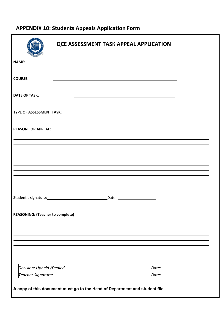# **APPENDIX 10: Students Appeals Application Form**

|                                         | <b>QCE ASSESSMENT TASK APPEAL APPLICATION</b>                                                                   |  |
|-----------------------------------------|-----------------------------------------------------------------------------------------------------------------|--|
| <b>NAME:</b>                            |                                                                                                                 |  |
| <b>COURSE:</b>                          |                                                                                                                 |  |
| <b>DATE OF TASK:</b>                    |                                                                                                                 |  |
| <b>TYPE OF ASSESSMENT TASK:</b>         |                                                                                                                 |  |
| <b>REASON FOR APPEAL:</b>               |                                                                                                                 |  |
|                                         |                                                                                                                 |  |
|                                         |                                                                                                                 |  |
|                                         |                                                                                                                 |  |
|                                         |                                                                                                                 |  |
|                                         | Student's signature: Management of the state of the state of the state of the state of the state of the state o |  |
| <b>REASONING: (Teacher to complete)</b> |                                                                                                                 |  |
|                                         |                                                                                                                 |  |
|                                         |                                                                                                                 |  |
|                                         |                                                                                                                 |  |
| Decision: Upheld / Denied               | Date:                                                                                                           |  |
| Teacher Signature:                      | Date:                                                                                                           |  |
|                                         |                                                                                                                 |  |

**A copy of this document must go to the Head of Department and student file.**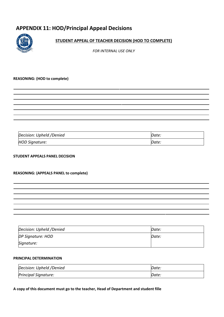# **APPENDIX 11: HOD/Principal Appeal Decisions**



#### **STUDENT APPEAL OF TEACHER DECISION (HOD TO COMPLETE)**

*FOR INTERNAL USE ONLY*

#### **REASONING: (HOD to complete)**

| Decision: Upheld /Denied | Date. |
|--------------------------|-------|
| HOD Signature:           | Date. |

#### **STUDENT APPEALS PANEL DECISION**

#### **REASONING: (APPEALS PANEL to complete)**

| Decision: Upheld /Denied | Date: |
|--------------------------|-------|
| DP Signature: HOD        | Date: |
| Signature:               |       |

#### **PRINCIPAL DETERMINATION**

| Decision: Upheld /Denied | Date. |
|--------------------------|-------|
| Principal Signature:     | Date: |

#### **A copy of this document must go to the teacher, Head of Department and student fille**